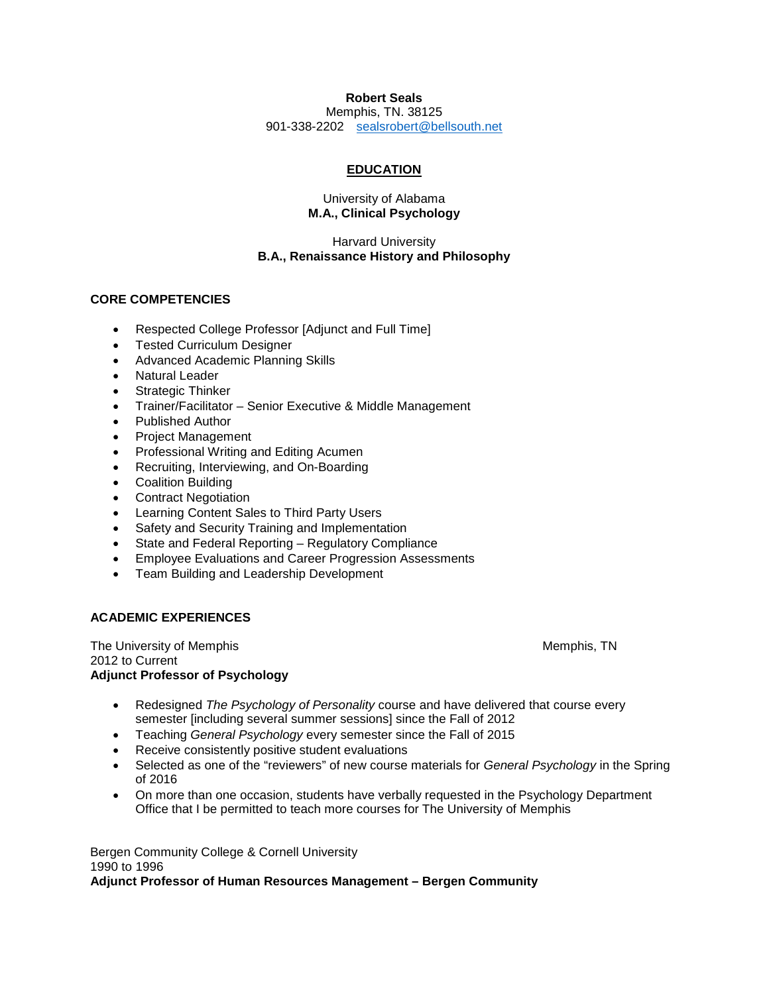# **Robert Seals**

Memphis, TN. 38125 901-338-2202 [sealsrobert@bellsouth.net](mailto:sealsrobert@bellsouth.net)

# **EDUCATION**

#### University of Alabama **M.A., Clinical Psychology**

# Harvard University **B.A., Renaissance History and Philosophy**

# **CORE COMPETENCIES**

- Respected College Professor [Adjunct and Full Time]
- Tested Curriculum Designer
- Advanced Academic Planning Skills
- Natural Leader
- Strategic Thinker
- Trainer/Facilitator Senior Executive & Middle Management
- Published Author
- Project Management
- Professional Writing and Editing Acumen
- Recruiting, Interviewing, and On-Boarding
- Coalition Building
- Contract Negotiation
- Learning Content Sales to Third Party Users
- Safety and Security Training and Implementation
- State and Federal Reporting Regulatory Compliance
- Employee Evaluations and Career Progression Assessments
- Team Building and Leadership Development

# **ACADEMIC EXPERIENCES**

The University of Memphis Memphis Members of Memphis, TN 2012 to Current **Adjunct Professor of Psychology**

- Redesigned *The Psychology of Personality* course and have delivered that course every semester [including several summer sessions] since the Fall of 2012
- Teaching *General Psychology* every semester since the Fall of 2015
- Receive consistently positive student evaluations
- Selected as one of the "reviewers" of new course materials for *General Psychology* in the Spring of 2016
- On more than one occasion, students have verbally requested in the Psychology Department Office that I be permitted to teach more courses for The University of Memphis

Bergen Community College & Cornell University 1990 to 1996 **Adjunct Professor of Human Resources Management – Bergen Community**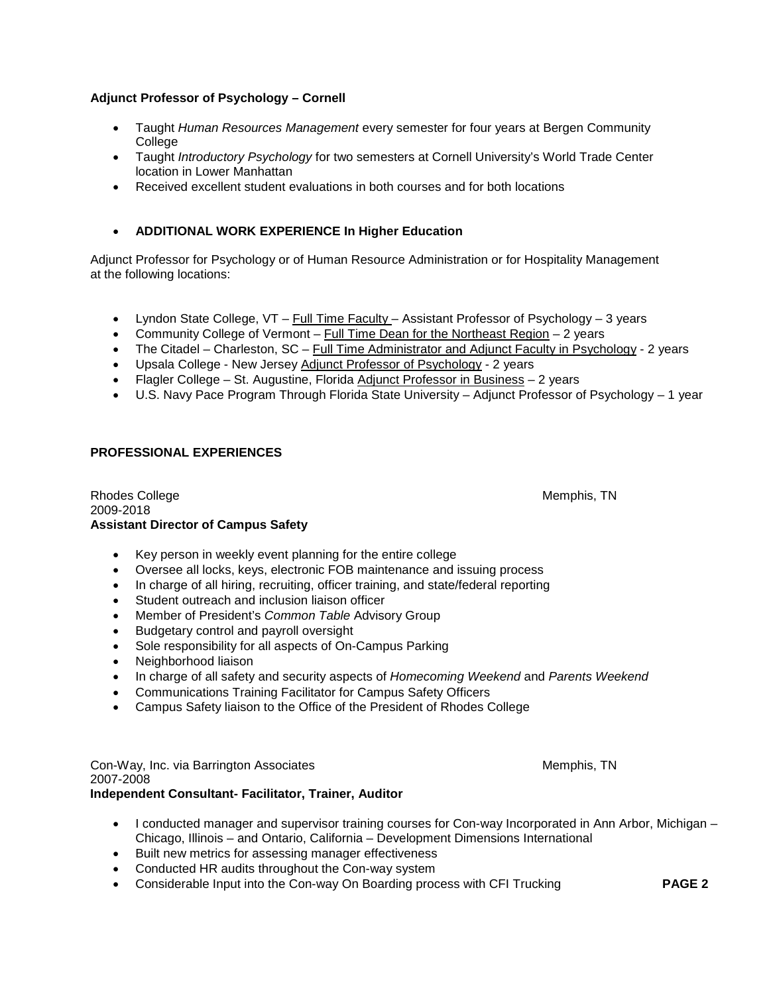# **Adjunct Professor of Psychology – Cornell**

- Taught *Human Resources Management* every semester for four years at Bergen Community College
- Taught *Introductory Psychology* for two semesters at Cornell University's World Trade Center location in Lower Manhattan
- Received excellent student evaluations in both courses and for both locations

# • **ADDITIONAL WORK EXPERIENCE In Higher Education**

Adjunct Professor for Psychology or of Human Resource Administration or for Hospitality Management at the following locations:

- Lyndon State College, VT Full Time Faculty Assistant Professor of Psychology 3 years
- Community College of Vermont Full Time Dean for the Northeast Region 2 years
- The Citadel Charleston, SC Full Time Administrator and Adjunct Faculty in Psychology 2 years
- Upsala College New Jersey Adjunct Professor of Psychology 2 years
- Flagler College St. Augustine, Florida Adjunct Professor in Business 2 years
- U.S. Navy Pace Program Through Florida State University Adjunct Professor of Psychology 1 year

# **PROFESSIONAL EXPERIENCES**

Rhodes College Memphis, TN 2009-2018 **Assistant Director of Campus Safety**

- Key person in weekly event planning for the entire college
- Oversee all locks, keys, electronic FOB maintenance and issuing process
- In charge of all hiring, recruiting, officer training, and state/federal reporting
- Student outreach and inclusion liaison officer
- Member of President's *Common Table* Advisory Group
- Budgetary control and payroll oversight
- Sole responsibility for all aspects of On-Campus Parking
- Neighborhood liaison
- In charge of all safety and security aspects of *Homecoming Weekend* and *Parents Weekend*
- Communications Training Facilitator for Campus Safety Officers
- Campus Safety liaison to the Office of the President of Rhodes College

Con-Way, Inc. via Barrington Associates Memphis, TN 2007-2008 **Independent Consultant- Facilitator, Trainer, Auditor**

- I conducted manager and supervisor training courses for Con-way Incorporated in Ann Arbor, Michigan Chicago, Illinois – and Ontario, California – Development Dimensions International
- Built new metrics for assessing manager effectiveness
- Conducted HR audits throughout the Con-way system
- Considerable Input into the Con-way On Boarding process with CFI Trucking **PAGE 2**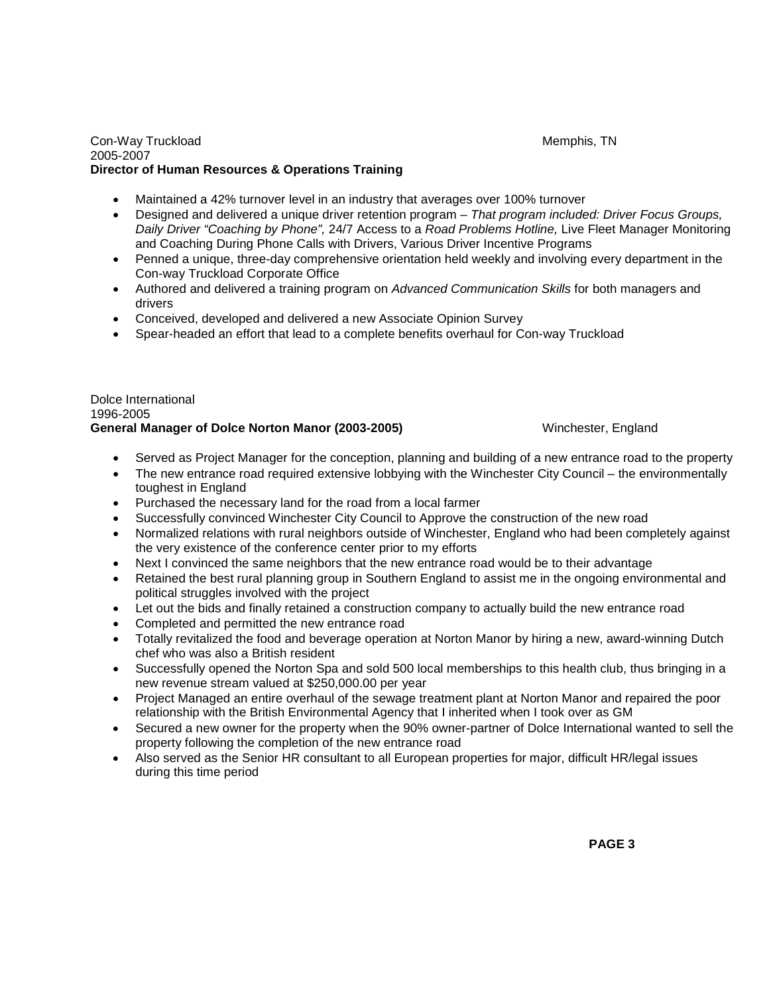#### Con-Way Truckload **Memphis, TN** 2005-2007 **Director of Human Resources & Operations Training**

- Maintained a 42% turnover level in an industry that averages over 100% turnover
- Designed and delivered a unique driver retention program *That program included: Driver Focus Groups, Daily Driver "Coaching by Phone",* 24/7 Access to a *Road Problems Hotline,* Live Fleet Manager Monitoring and Coaching During Phone Calls with Drivers, Various Driver Incentive Programs
- Penned a unique, three-day comprehensive orientation held weekly and involving every department in the Con-way Truckload Corporate Office
- Authored and delivered a training program on *Advanced Communication Skills* for both managers and drivers
- Conceived, developed and delivered a new Associate Opinion Survey
- Spear-headed an effort that lead to a complete benefits overhaul for Con-way Truckload

#### Dolce International 1996-2005 **General Manager of Dolce Norton Manor (2003-2005)** Winchester, England

- Served as Project Manager for the conception, planning and building of a new entrance road to the property
- The new entrance road required extensive lobbying with the Winchester City Council the environmentally toughest in England
- Purchased the necessary land for the road from a local farmer
- Successfully convinced Winchester City Council to Approve the construction of the new road
- Normalized relations with rural neighbors outside of Winchester, England who had been completely against the very existence of the conference center prior to my efforts
- Next I convinced the same neighbors that the new entrance road would be to their advantage
- Retained the best rural planning group in Southern England to assist me in the ongoing environmental and political struggles involved with the project
- Let out the bids and finally retained a construction company to actually build the new entrance road
- Completed and permitted the new entrance road
- Totally revitalized the food and beverage operation at Norton Manor by hiring a new, award-winning Dutch chef who was also a British resident
- Successfully opened the Norton Spa and sold 500 local memberships to this health club, thus bringing in a new revenue stream valued at \$250,000.00 per year
- Project Managed an entire overhaul of the sewage treatment plant at Norton Manor and repaired the poor relationship with the British Environmental Agency that I inherited when I took over as GM
- Secured a new owner for the property when the 90% owner-partner of Dolce International wanted to sell the property following the completion of the new entrance road
- Also served as the Senior HR consultant to all European properties for major, difficult HR/legal issues during this time period

**PAGE 3 PAGE 3**